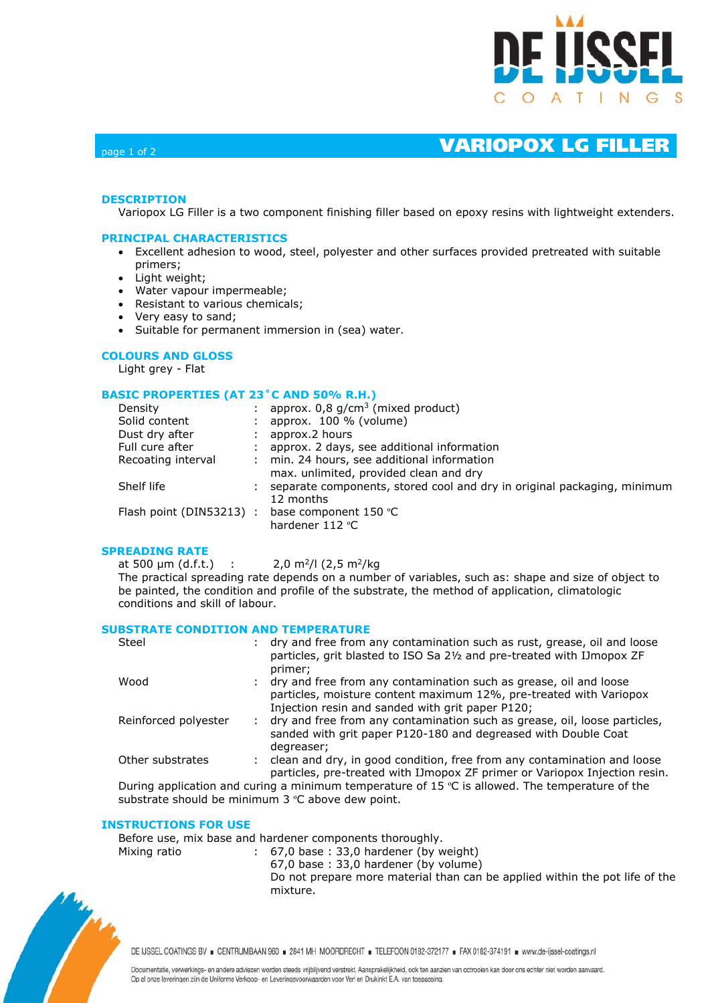

# page 1 of 2 VARIOPOX LG FILLER

### **DESCRIPTION**

Variopox LG Filler is a two component finishing filler based on epoxy resins with lightweight extenders.

#### **PRINCIPAL CHARACTERISTICS**

- Excellent adhesion to wood, steel, polyester and other surfaces provided pretreated with suitable primers;
- Light weight;
- Water vapour impermeable;
- Resistant to various chemicals;
- Very easy to sand;
- Suitable for permanent immersion in (sea) water.

### **COLOURS AND GLOSS**

Light grey - Flat

#### **BASIC PROPERTIES (AT 23˚C AND 50% R.H.)**

| Density                  | approx. $0.8$ g/cm <sup>3</sup> (mixed product)                         |
|--------------------------|-------------------------------------------------------------------------|
| Solid content            | approx. 100 % (volume)                                                  |
| Dust dry after           | approx.2 hours                                                          |
| Full cure after          | approx. 2 days, see additional information                              |
| Recoating interval       | min. 24 hours, see additional information                               |
|                          |                                                                         |
| Shelf life               | separate components, stored cool and dry in original packaging, minimum |
|                          | 12 months                                                               |
|                          | base component 150 °C                                                   |
|                          | hardener 112 °C                                                         |
| Flash point (DIN53213) : | max. unlimited, provided clean and dry                                  |

#### **SPREADING RATE**

at 500  $\mu$ m (d.f.t.) : 2,0 m<sup>2</sup>/l (2,5 m<sup>2</sup>/kg The practical spreading rate depends on a number of variables, such as: shape and size of object to be painted, the condition and profile of the substrate, the method of application, climatologic conditions and skill of labour.

#### **SUBSTRATE CONDITION AND TEMPERATURE**

| Steel                | dry and free from any contamination such as rust, grease, oil and loose<br>particles, grit blasted to ISO Sa 21/2 and pre-treated with IJmopox ZF<br>primer;                                  |
|----------------------|-----------------------------------------------------------------------------------------------------------------------------------------------------------------------------------------------|
| Wood                 | : dry and free from any contamination such as grease, oil and loose<br>particles, moisture content maximum 12%, pre-treated with Variopox<br>Injection resin and sanded with grit paper P120; |
| Reinforced polyester | dry and free from any contamination such as grease, oil, loose particles,<br>sanded with grit paper P120-180 and degreased with Double Coat<br>degreaser;                                     |
| Other substrates     | clean and dry, in good condition, free from any contamination and loose<br>particles, pre-treated with IJmopox ZF primer or Variopox Injection resin.                                         |

During application and curing a minimum temperature of 15  $\degree$ C is allowed. The temperature of the substrate should be minimum 3 °C above dew point.

#### **INSTRUCTIONS FOR USE**

Before use, mix base and hardener components thoroughly.

Mixing ratio : 67,0 base : 33,0 hardener (by weight)

67,0 base : 33,0 hardener (by volume)

 Do not prepare more material than can be applied within the pot life of the mixture.